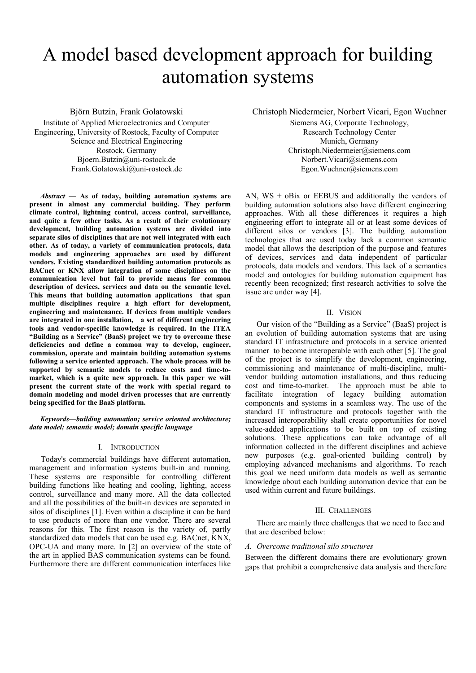# A model based development approach for building automation systems

Björn Butzin, Frank Golatowski Institute of Applied Microelectronics and Computer Engineering, University of Rostock, Faculty of Computer Science and Electrical Engineering Rostock, Germany Bjoern.Butzin@uni-rostock.de Frank.Golatowski@uni-rostock.de

*Abstract* **— As of today, building automation systems are present in almost any commercial building. They perform climate control, lightning control, access control, surveillance, and quite a few other tasks. As a result of their evolutionary development, building automation systems are divided into separate silos of disciplines that are not well integrated with each other. As of today, a variety of communication protocols, data models and engineering approaches are used by different vendors. Existing standardized building automation protocols as BACnet or KNX allow integration of some disciplines on the communication level but fail to provide means for common description of devices, services and data on the semantic level. This means that building automation applications that span multiple disciplines require a high effort for development, engineering and maintenance. If devices from multiple vendors are integrated in one installation, a set of different engineering tools and vendor-specific knowledge is required. In the ITEA "Building as a Service" (BaaS) project we try to overcome these deficiencies and define a common way to develop, engineer, commission, operate and maintain building automation systems following a service oriented approach. The whole process will be supported by semantic models to reduce costs and time-tomarket, which is a quite new approach. In this paper we will present the current state of the work with special regard to domain modeling and model driven processes that are currently being specified for the BaaS platform.** 

*Keywords—building automation; service oriented architecture; data model; semantic model; domain specific language* 

#### I. INTRODUCTION

 Today's commercial buildings have different automation, management and information systems built-in and running. These systems are responsible for controlling different building functions like heating and cooling, lighting, access control, surveillance and many more. All the data collected and all the possibilities of the built-in devices are separated in silos of disciplines [1]. Even within a discipline it can be hard to use products of more than one vendor. There are several reasons for this. The first reason is the variety of, partly standardized data models that can be used e.g. BACnet, KNX, OPC-UA and many more. In [2] an overview of the state of the art in applied BAS communication systems can be found. Furthermore there are different communication interfaces like

Christoph Niedermeier, Norbert Vicari, Egon Wuchner

Siemens AG, Corporate Technology, Research Technology Center Munich, Germany Christoph.Niedermeier@siemens.com Norbert.Vicari@siemens.com Egon.Wuchner@siemens.com

AN,  $WS + oBix$  or EEBUS and additionally the vendors of building automation solutions also have different engineering approaches. With all these differences it requires a high engineering effort to integrate all or at least some devices of different silos or vendors [3]. The building automation technologies that are used today lack a common semantic model that allows the description of the purpose and features of devices, services and data independent of particular protocols, data models and vendors. This lack of a semantics model and ontologies for building automation equipment has recently been recognized; first research activities to solve the issue are under way [4].

## II. VISION

Our vision of the "Building as a Service" (BaaS) project is an evolution of building automation systems that are using standard IT infrastructure and protocols in a service oriented manner to become interoperable with each other [5]. The goal of the project is to simplify the development, engineering, commissioning and maintenance of multi-discipline, multivendor building automation installations, and thus reducing cost and time-to-market. The approach must be able to facilitate integration of legacy building automation components and systems in a seamless way. The use of the standard IT infrastructure and protocols together with the increased interoperability shall create opportunities for novel value-added applications to be built on top of existing solutions. These applications can take advantage of all information collected in the different disciplines and achieve new purposes (e.g. goal-oriented building control) by employing advanced mechanisms and algorithms. To reach this goal we need uniform data models as well as semantic knowledge about each building automation device that can be used within current and future buildings.

## III. CHALLENGES

There are mainly three challenges that we need to face and that are described below:

#### *A. Overcome traditional silo structures*

Between the different domains there are evolutionary grown gaps that prohibit a comprehensive data analysis and therefore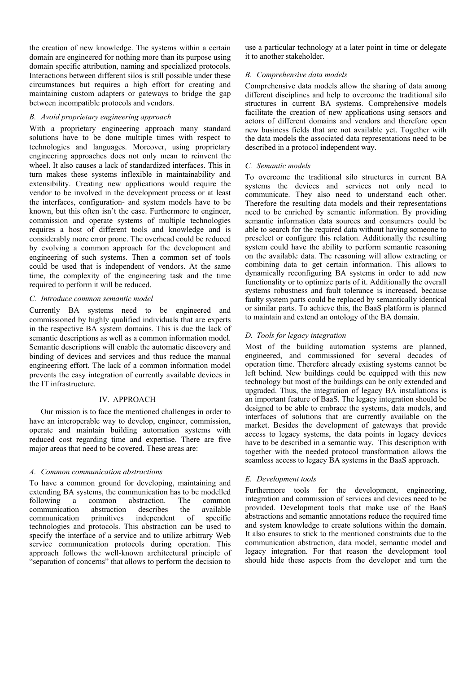the creation of new knowledge. The systems within a certain domain are engineered for nothing more than its purpose using domain specific attribution, naming and specialized protocols. Interactions between different silos is still possible under these circumstances but requires a high effort for creating and maintaining custom adapters or gateways to bridge the gap between incompatible protocols and vendors.

# *B. Avoid proprietary engineering approach*

With a proprietary engineering approach many standard solutions have to be done multiple times with respect to technologies and languages. Moreover, using proprietary engineering approaches does not only mean to reinvent the wheel. It also causes a lack of standardized interfaces. This in turn makes these systems inflexible in maintainability and extensibility. Creating new applications would require the vendor to be involved in the development process or at least the interfaces, configuration- and system models have to be known, but this often isn't the case. Furthermore to engineer, commission and operate systems of multiple technologies requires a host of different tools and knowledge and is considerably more error prone. The overhead could be reduced by evolving a common approach for the development and engineering of such systems. Then a common set of tools could be used that is independent of vendors. At the same time, the complexity of the engineering task and the time required to perform it will be reduced.

## *C. Introduce common semantic model*

Currently BA systems need to be engineered and commissioned by highly qualified individuals that are experts in the respective BA system domains. This is due the lack of semantic descriptions as well as a common information model. Semantic descriptions will enable the automatic discovery and binding of devices and services and thus reduce the manual engineering effort. The lack of a common information model prevents the easy integration of currently available devices in the IT infrastructure.

## IV. APPROACH

Our mission is to face the mentioned challenges in order to have an interoperable way to develop, engineer, commission, operate and maintain building automation systems with reduced cost regarding time and expertise. There are five major areas that need to be covered. These areas are:

# *A. Common communication abstractions*

To have a common ground for developing, maintaining and extending BA systems, the communication has to be modelled following a common abstraction. The common communication abstraction describes the available communication primitives independent of specific technologies and protocols. This abstraction can be used to specify the interface of a service and to utilize arbitrary Web service communication protocols during operation. This approach follows the well-known architectural principle of "separation of concerns" that allows to perform the decision to

use a particular technology at a later point in time or delegate it to another stakeholder.

## *B. Comprehensive data models*

Comprehensive data models allow the sharing of data among different disciplines and help to overcome the traditional silo structures in current BA systems. Comprehensive models facilitate the creation of new applications using sensors and actors of different domains and vendors and therefore open new business fields that are not available yet. Together with the data models the associated data representations need to be described in a protocol independent way.

## *C. Semantic models*

To overcome the traditional silo structures in current BA systems the devices and services not only need to communicate. They also need to understand each other. Therefore the resulting data models and their representations need to be enriched by semantic information. By providing semantic information data sources and consumers could be able to search for the required data without having someone to preselect or configure this relation. Additionally the resulting system could have the ability to perform semantic reasoning on the available data. The reasoning will allow extracting or combining data to get certain information. This allows to dynamically reconfiguring BA systems in order to add new functionality or to optimize parts of it. Additionally the overall systems robustness and fault tolerance is increased, because faulty system parts could be replaced by semantically identical or similar parts. To achieve this, the BaaS platform is planned to maintain and extend an ontology of the BA domain.

# *D. Tools for legacy integration*

Most of the building automation systems are planned, engineered, and commissioned for several decades of operation time. Therefore already existing systems cannot be left behind. New buildings could be equipped with this new technology but most of the buildings can be only extended and upgraded. Thus, the integration of legacy BA installations is an important feature of BaaS. The legacy integration should be designed to be able to embrace the systems, data models, and interfaces of solutions that are currently available on the market. Besides the development of gateways that provide access to legacy systems, the data points in legacy devices have to be described in a semantic way. This description with together with the needed protocol transformation allows the seamless access to legacy BA systems in the BaaS approach.

# *E. Development tools*

Furthermore tools for the development, engineering, integration and commission of services and devices need to be provided. Development tools that make use of the BaaS abstractions and semantic annotations reduce the required time and system knowledge to create solutions within the domain. It also ensures to stick to the mentioned constraints due to the communication abstraction, data model, semantic model and legacy integration. For that reason the development tool should hide these aspects from the developer and turn the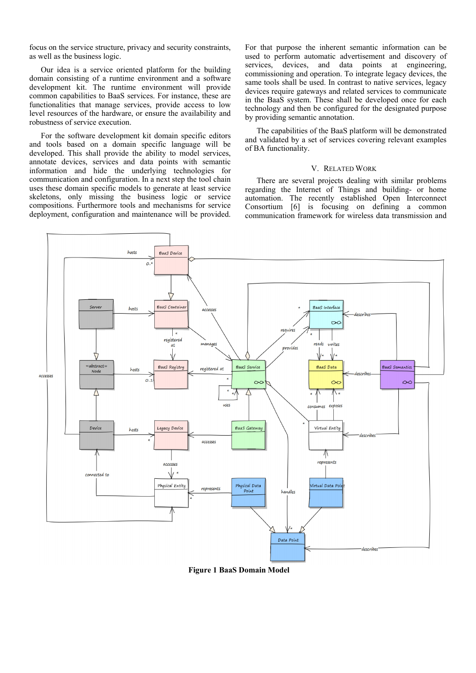focus on the service structure, privacy and security constraints, as well as the business logic.

Our idea is a service oriented platform for the building domain consisting of a runtime environment and a software development kit. The runtime environment will provide common capabilities to BaaS services. For instance, these are functionalities that manage services, provide access to low level resources of the hardware, or ensure the availability and robustness of service execution.

For the software development kit domain specific editors and tools based on a domain specific language will be developed. This shall provide the ability to model services, annotate devices, services and data points with semantic information and hide the underlying technologies for communication and configuration. In a next step the tool chain uses these domain specific models to generate at least service skeletons, only missing the business logic or service compositions. Furthermore tools and mechanisms for service deployment, configuration and maintenance will be provided.

For that purpose the inherent semantic information can be used to perform automatic advertisement and discovery of services, devices, and data points at engineering, commissioning and operation. To integrate legacy devices, the same tools shall be used. In contrast to native services, legacy devices require gateways and related services to communicate in the BaaS system. These shall be developed once for each technology and then be configured for the designated purpose by providing semantic annotation.

The capabilities of the BaaS platform will be demonstrated and validated by a set of services covering relevant examples of BA functionality.

### V. RELATED WORK

There are several projects dealing with similar problems regarding the Internet of Things and building- or home automation. The recently established Open Interconnect Consortium [6] is focusing on defining a common communication framework for wireless data transmission and



**Figure 1 BaaS Domain Model**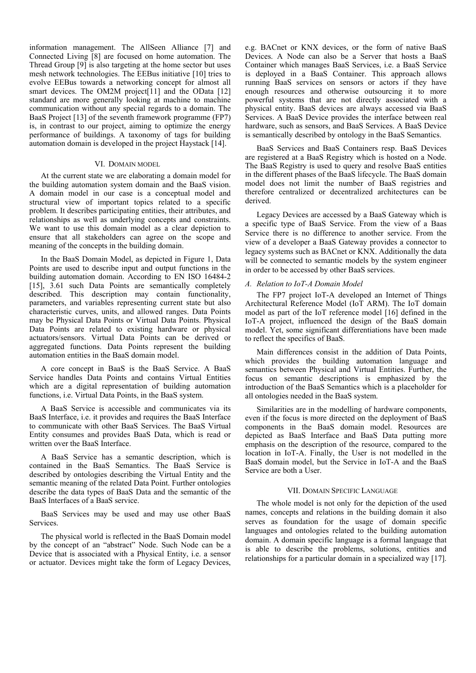information management. The AllSeen Alliance [7] and Connected Living [8] are focused on home automation. The Thread Group [9] is also targeting at the home sector but uses mesh network technologies. The EEBus initiative [10] tries to evolve EEBus towards a networking concept for almost all smart devices. The OM2M project<sup>[11]</sup> and the OData [12] standard are more generally looking at machine to machine communication without any special regards to a domain. The BaaS Project [13] of the seventh framework programme (FP7) is, in contrast to our project, aiming to optimize the energy performance of buildings. A taxonomy of tags for building automation domain is developed in the project Haystack [14].

#### VI. DOMAIN MODEL

At the current state we are elaborating a domain model for the building automation system domain and the BaaS vision. A domain model in our case is a conceptual model and structural view of important topics related to a specific problem. It describes participating entities, their attributes, and relationships as well as underlying concepts and constraints. We want to use this domain model as a clear depiction to ensure that all stakeholders can agree on the scope and meaning of the concepts in the building domain.

In the BaaS Domain Model, as depicted in Figure 1, Data Points are used to describe input and output functions in the building automation domain. According to EN ISO 16484-2 [15], 3.61 such Data Points are semantically completely described. This description may contain functionality, parameters, and variables representing current state but also characteristic curves, units, and allowed ranges. Data Points may be Physical Data Points or Virtual Data Points. Physical Data Points are related to existing hardware or physical actuators/sensors. Virtual Data Points can be derived or aggregated functions. Data Points represent the building automation entities in the BaaS domain model.

A core concept in BaaS is the BaaS Service. A BaaS Service handles Data Points and contains Virtual Entities which are a digital representation of building automation functions, i.e. Virtual Data Points, in the BaaS system.

A BaaS Service is accessible and communicates via its BaaS Interface, i.e. it provides and requires the BaaS Interface to communicate with other BaaS Services. The BaaS Virtual Entity consumes and provides BaaS Data, which is read or written over the BaaS Interface.

A BaaS Service has a semantic description, which is contained in the BaaS Semantics. The BaaS Service is described by ontologies describing the Virtual Entity and the semantic meaning of the related Data Point. Further ontologies describe the data types of BaaS Data and the semantic of the BaaS Interfaces of a BaaS service.

BaaS Services may be used and may use other BaaS Services.

The physical world is reflected in the BaaS Domain model by the concept of an "abstract" Node. Such Node can be a Device that is associated with a Physical Entity, i.e. a sensor or actuator. Devices might take the form of Legacy Devices, e.g. BACnet or KNX devices, or the form of native BaaS Devices. A Node can also be a Server that hosts a BaaS Container which manages BaaS Services, i.e. a BaaS Service is deployed in a BaaS Container. This approach allows running BaaS services on sensors or actors if they have enough resources and otherwise outsourcing it to more powerful systems that are not directly associated with a physical entity. BaaS devices are always accessed via BaaS Services. A BaaS Device provides the interface between real hardware, such as sensors, and BaaS Services. A BaaS Device is semantically described by ontology in the BaaS Semantics.

BaaS Services and BaaS Containers resp. BaaS Devices are registered at a BaaS Registry which is hosted on a Node. The BaaS Registry is used to query and resolve BaaS entities in the different phases of the BaaS lifecycle. The BaaS domain model does not limit the number of BaaS registries and therefore centralized or decentralized architectures can be derived.

Legacy Devices are accessed by a BaaS Gateway which is a specific type of BaaS Service. From the view of a Baas Service there is no difference to another service. From the view of a developer a BaaS Gateway provides a connector to legacy systems such as BACnet or KNX. Additionally the data will be connected to semantic models by the system engineer in order to be accessed by other BaaS services.

## *A. Relation to IoT-A Domain Model*

The FP7 project IoT-A developed an Internet of Things Architectural Reference Model (IoT ARM). The IoT domain model as part of the IoT reference model [16] defined in the IoT-A project, influenced the design of the BaaS domain model. Yet, some significant differentiations have been made to reflect the specifics of BaaS.

Main differences consist in the addition of Data Points, which provides the building automation language and semantics between Physical and Virtual Entities. Further, the focus on semantic descriptions is emphasized by the introduction of the BaaS Semantics which is a placeholder for all ontologies needed in the BaaS system.

Similarities are in the modelling of hardware components, even if the focus is more directed on the deployment of BaaS components in the BaaS domain model. Resources are depicted as BaaS Interface and BaaS Data putting more emphasis on the description of the resource, compared to the location in IoT-A. Finally, the User is not modelled in the BaaS domain model, but the Service in IoT-A and the BaaS Service are both a User.

#### VII. DOMAIN SPECIFIC LANGUAGE

The whole model is not only for the depiction of the used names, concepts and relations in the building domain it also serves as foundation for the usage of domain specific languages and ontologies related to the building automation domain. A domain specific language is a formal language that is able to describe the problems, solutions, entities and relationships for a particular domain in a specialized way [17].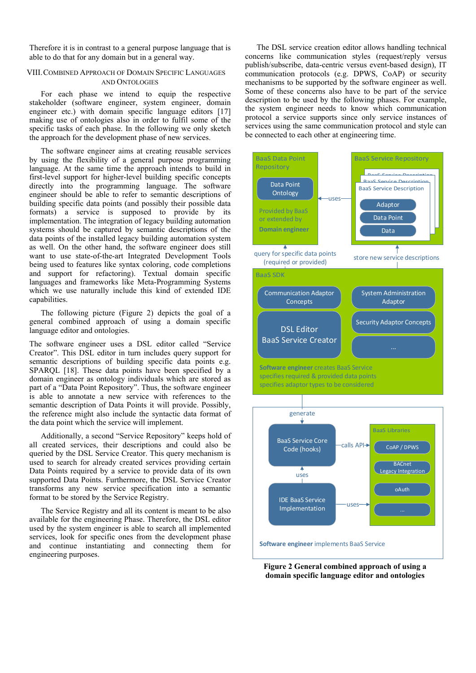Therefore it is in contrast to a general purpose language that is able to do that for any domain but in a general way.

### VIII.COMBINED APPROACH OF DOMAIN SPECIFIC LANGUAGES AND ONTOLOGIES

For each phase we intend to equip the respective stakeholder (software engineer, system engineer, domain engineer etc.) with domain specific language editors [17] making use of ontologies also in order to fulfil some of the specific tasks of each phase. In the following we only sketch the approach for the development phase of new services.

The software engineer aims at creating reusable services by using the flexibility of a general purpose programming language. At the same time the approach intends to build in first-level support for higher-level building specific concepts directly into the programming language. The software engineer should be able to refer to semantic descriptions of building specific data points (and possibly their possible data formats) a service is supposed to provide by its implementation. The integration of legacy building automation systems should be captured by semantic descriptions of the data points of the installed legacy building automation system as well. On the other hand, the software engineer does still want to use state-of-the-art Integrated Development Tools being used to features like syntax coloring, code completions and support for refactoring). Textual domain specific languages and frameworks like Meta-Programming Systems which we use naturally include this kind of extended IDE capabilities.

The following picture (Figure 2) depicts the goal of a general combined approach of using a domain specific language editor and ontologies.

The software engineer uses a DSL editor called "Service Creator". This DSL editor in turn includes query support for semantic descriptions of building specific data points e.g. SPARQL [18]. These data points have been specified by a domain engineer as ontology individuals which are stored as part of a "Data Point Repository". Thus, the software engineer is able to annotate a new service with references to the semantic description of Data Points it will provide. Possibly, the reference might also include the syntactic data format of the data point which the service will implement.

Additionally, a second "Service Repository" keeps hold of all created services, their descriptions and could also be queried by the DSL Service Creator. This query mechanism is used to search for already created services providing certain Data Points required by a service to provide data of its own supported Data Points. Furthermore, the DSL Service Creator transforms any new service specification into a semantic format to be stored by the Service Registry.

The Service Registry and all its content is meant to be also available for the engineering Phase. Therefore, the DSL editor used by the system engineer is able to search all implemented services, look for specific ones from the development phase and continue instantiating and connecting them for engineering purposes.

The DSL service creation editor allows handling technical concerns like communication styles (request/reply versus publish/subscribe, data-centric versus event-based design), IT communication protocols (e.g. DPWS, CoAP) or security mechanisms to be supported by the software engineer as well. Some of these concerns also have to be part of the service description to be used by the following phases. For example, the system engineer needs to know which communication protocol a service supports since only service instances of services using the same communication protocol and style can be connected to each other at engineering time.



**Figure 2 General combined approach of using a domain specific language editor and ontologies**